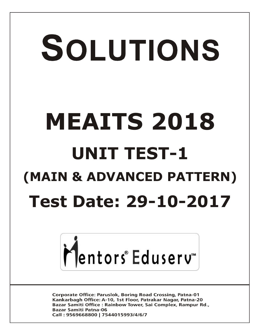# SOLUTIONS **MEAITS 2018 UNIT TEST-1 (MAIN & ADVANCED PATTERN) Test Date: 29-10-2017**



**Corporate Office: Paruslok, Boring Road Crossing, Patna-01** Kankarbagh Office: A-10, 1st Floor, Patrakar Nagar, Patna-20 Bazar Samiti Office: Rainbow Tower, Sai Complex, Rampur Rd., **Bazar Samiti Patna-06** Call: 9569668800 | 7544015993/4/6/7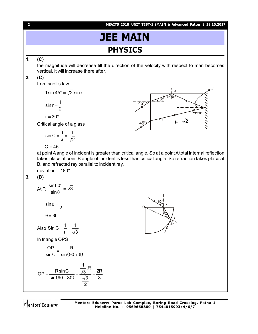[ **2** ] **MEAITS 2018\_UNIT TEST-1 (MAIN & Advanced Pattern)\_29.10.2017**

# **JEE MAIN PHYSICS**

#### **1. (C)**

the magnitude will decrease till the direction of the velocity with respect to man becomes vertical. It will increase there after.

#### **2. (C)**

from snell's law

1 sin 45° =  $\sqrt{2}$  sin r

$$
\sin r = \frac{1}{2}
$$

$$
r=30^\circ
$$

Critical angle of a glass

$$
\sin C = \frac{1}{\mu} = \frac{1}{\sqrt{2}}
$$

 $C = 45^{\circ}$ 



at point A angle of incident is greater than critical angle. So at a point A total internal reflection takes place at point B angle of incident is less than critical angle. So refraction takes place at B. and refracted ray parallel to incident ray.

deviation =  $180^\circ$ 

#### **3. (B)**

At P, 
$$
\frac{\sin 60^{\circ}}{\sin \theta} = \sqrt{3}
$$

$$
\sin \theta = \frac{1}{2}
$$

$$
\theta = 30^{\circ}
$$
Also 
$$
\sin C = \frac{1}{\mu} = \frac{1}{\sqrt{3}}
$$

In triangle OPS

$$
\frac{OP}{\sin C} = \frac{R}{\sin(90 + \theta)}
$$

 $\overline{\sqrt{3}}$ 

$$
OP = \frac{R\sin C}{\sin(90+30)} = \frac{\frac{1}{\sqrt{3}}R}{\frac{\sqrt{3}}{2}} = \frac{2R}{3}
$$

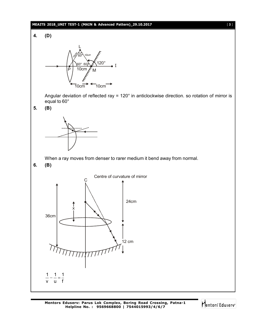#### **MEAITS 2018\_UNIT TEST-1 (MAIN & Advanced Pattern)\_29.10.2017** [ **3** ]





Angular deviation of reflected ray = 120° in anticlockwise direction. so rotation of mirror is equal to 60°

**5. (B)**



When a ray moves from denser to rarer medium it bend away from normal.

**6. (B)**



Mentors<sup>e</sup> Eduserv<sup>-</sup>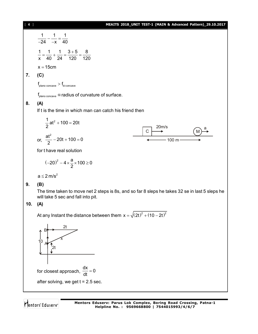[ **4** ] **MEAITS 2018\_UNIT TEST-1 (MAIN & Advanced Pattern)\_29.10.2017**

1 1 1 24  $-x$  40  $-\frac{1}{2}$  = --24 -x 1 1 1  $3+5$  8 x 40 24 120 120  $=\frac{1}{10}+\frac{1}{21}=\frac{3+5}{100}=$ 

 $x = 15$ cm

#### **7. (C)**

 $f_{\text{plane concave}} > f_{\text{bi concave}}$ 

 $f_{\text{plano concave}} \alpha$  radius of curvature of surface.

#### **8. (A)**

If t is the time in which man can catch his friend then

1 <sup>2</sup> at 100 20t 2 20m/s C M a or, 100 m 2 at 20t 100 0 2 

for t have real solution

$$
(-20)^2 - 4 \times \frac{a}{2} \times 100 \ge 0
$$

 $a \leq 2$  m/s<sup>2</sup>

#### **9. (B)**

The time taken to move net 2 steps is 8s, and so far 8 sleps he takes 32 se in last 5 sleps he will take 5 sec and fall into pit.

#### **10. (A)**

At any Instant the distance between them  $x = \sqrt{(2t)^2 + (10-2t)^2}$ 

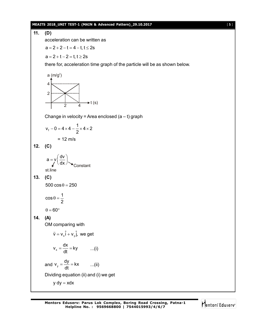#### **MEAITS 2018\_UNIT TEST-1 (MAIN & Advanced Pattern)\_29.10.2017** [ **5** ]

## **11. (D)** acceleration can be written as  $a = 2 + 2 - t = 4 - t$ ,  $t \le 2s$  $a = 2 + t - 2 = t, t \ge 2s$ there for, acceleration time graph of the particle will be as shown below.  $\rightarrow$  t (s) a  $(m/g^2)$ 4 2  $\overline{2}$ Change in velocity = Area enclosed  $(a - t)$  graph f  $v_f - 0 = 4 \times 4 - \frac{1}{2} \times 4 \times 2$ 2  $-0 = 4 \times 4 - \frac{1}{2} \times 4 \times 2$  $= 12$  m/s **12. (C)**  $($  dv  $)$  $a = y \left| \frac{dv}{dx} \right|$ dx  $\langle dx \rangle$ st.line **Constant**

**13. (C)**

 $500 \cos \theta = 250$ 

$$
\cos\theta=\frac{1}{2}
$$

 $\theta = 60^{\circ}$ 

**14. (A)**

OM comparing with

$$
\vec{v} = v_x \hat{i} + v_y \hat{j}, \text{ we get}
$$

$$
v_x = \frac{dx}{dt} = ky \qquad ...(i)
$$

and 
$$
v_y = \frac{dy}{dt} = kx
$$
 ...(ii)

Dividing equation (ii) and (i) we get

 $y dy = xdx$ 

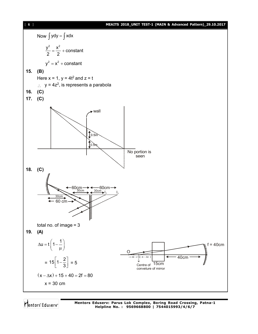[ **6** ] **MEAITS 2018\_UNIT TEST-1 (MAIN & Advanced Pattern)\_29.10.2017** Now  $\int ydy = \int xdx$  $\frac{y^2}{2} = \frac{x^2}{2} + \text{constant}$  $=\frac{1}{2} + 0$ 2 2  $y^2 = x^2 + constant$ **15. (B)** Here  $x = 1$ ,  $y = 4t^2$  and  $z = t$  $\therefore$  y = 4z<sup>2</sup>, is represents a parabola **16. (C) 17. (C)** wall  $0.5n$  $0.5\pi$ No portion is seen **18. (C)** 60cm 60cm 30cm 30cm  $I_{2}$  ${\rm I}_3$ 30cm 60 cm E total no. of image = 3 **19. (A)**  $\Delta u = t \left(1 - \frac{1}{\mu}\right)$  $f = 40cm$ O 40cm  $C(-x - \Delta x)$  $15/1-\frac{2}{3}$  $\left\lfloor 1-\frac{2}{3}\right\rfloor = 5$ = Centre of 15cm 3 conveture of mirror  $(x - \Delta x) + 15 + 40 = 2f = 80$  $x = 30$  cm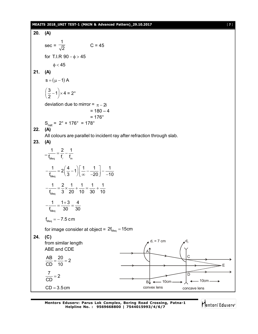#### **MEAITS 2018\_UNIT TEST-1 (MAIN & Advanced Pattern)\_29.10.2017** [ **7** ]

20. (A)  
\n
$$
\sec = \frac{1}{\sqrt{2}}
$$
\n
$$
C = 45
$$
\nfor T.I.R 90- $\phi$ >45  
\n $\phi$  < 45  
\n21. (A)  
\n
$$
s = (\mu - 1) A
$$
\n
$$
\left(\frac{3}{2} - 1\right) \times 4 = 2^\circ
$$
\ndeviation due to mirror =  $\pi$ -2i  
\n= 180-4  
\n22. (A)  
\nAll colours are parallel to incident ray after refraction through slab.  
\n23. (A)  
\n
$$
-\frac{1}{t_{\text{total}}} = \frac{2}{t_f} - \frac{1}{t_m}
$$
\n
$$
-\frac{1}{t_{\text{total}}} = 2\left(\frac{4}{3} - 1\right)\left[\frac{1}{\omega} - \frac{1}{-20}\right] - \frac{1}{-10}
$$
\n
$$
-\frac{1}{t_{\text{total}}} = \frac{2}{3} \times \frac{1}{20} + \frac{1}{10} = \frac{1}{30} + \frac{1}{10}
$$
\n
$$
-\frac{1}{t_{\text{total}}} = \frac{1+3}{30} = \frac{4}{30}
$$
\n
$$
t_{\text{total}} = -7.5 \text{ cm}
$$
\nfor image consider at object =  $2t_{\text{total}} = 15$ cm  
\n24. (C)  
\nfrom similar length  
\nAB E and CDE  
\n
$$
\frac{AB}{CD} = \frac{20}{10} = 2
$$
\n
$$
\frac{7}{CD} = 2
$$
\n
$$
\frac{7}{CD} = 2
$$
\n
$$
\frac{7}{CD} = 2
$$
\n
$$
\frac{7}{CD} = 2
$$
\n
$$
\frac{1}{\sqrt{20}} = \frac{1}{20} \text{ cm}
$$
\n
$$
\frac{1}{\sqrt{20}} = \frac{1}{20} \text{ cm}
$$
\n
$$
\frac{1}{\sqrt{20}} = \frac{1}{20} \text{ cm}
$$
\n
$$
\frac{1}{\sqrt{20}} = \frac{1}{20} \text{ cm}
$$
\n
$$
\frac{1}{\sqrt{20}} = \frac{1}{20} \text{ cm}
$$

**Mentors Eduserv: Parus Lok Complex, Boring Road Crossing, Patna-1 Helpline No. : 9569668800 | 7544015993/4/6/7**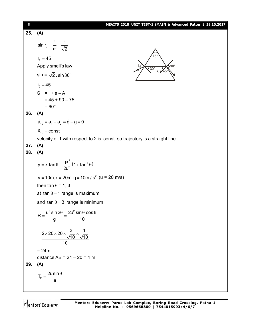| $[ 8 ]$    | MEAITS 2018_UNIT TEST-1 (MAIN & Advanced Pattern)_29.10.2017                                                                      |
|------------|-----------------------------------------------------------------------------------------------------------------------------------|
| 25.        | (A)                                                                                                                               |
|            | $\sin r_2 = \frac{1}{\alpha} = \frac{1}{\sqrt{2}}$                                                                                |
|            | $r_{2} = 45$                                                                                                                      |
|            | Apply smell's law<br>a∪∘<br>$30^\circ$                                                                                            |
|            | $sin = \sqrt{2}$ . $sin 30^\circ$                                                                                                 |
|            | $i_0 = 45$                                                                                                                        |
|            | $S = i + e - A$                                                                                                                   |
|            | $= 45 + 90 - 75$                                                                                                                  |
|            | $= 60^{\circ}$                                                                                                                    |
| 26.        | (A)                                                                                                                               |
|            | $\vec{a}_{12} = \vec{a}_1 - \vec{a}_2 = \vec{g} - \vec{g} = 0$                                                                    |
|            | $\vec{v}_{12}$ = const                                                                                                            |
|            | velocity of 1 with respect to 2 is const. so trajectory is a straight line                                                        |
| 27.<br>28. | (A)<br>(A)                                                                                                                        |
|            | y = x tan $\theta$ – $\frac{gx^2}{2u^2}(1 + \tan^2 \theta)$                                                                       |
|            | $y = 10m$ , $x = 20m$ , $g = 10m / s2$ (u = 20 m/s)                                                                               |
|            | then tan $\theta$ = 1, 3                                                                                                          |
|            | at tan $\theta = 1$ range is maximum                                                                                              |
|            | and $\tan \theta = 3$ range is minimum                                                                                            |
|            | $R = \frac{u^2 \sin 2\theta}{\sin 2\theta} = \frac{2u^2 \sin \theta \cdot \cos \theta}{\sin \theta \cdot \cos \theta}$<br>10<br>g |
|            | $\frac{2\times20\times20\times\frac{3}{\sqrt{10}}\times\frac{1}{\sqrt{10}}}{10}$                                                  |
|            | $= 24m$                                                                                                                           |
|            | distance $AB = 24 - 20 = 4$ m                                                                                                     |
| 29.        | (A)                                                                                                                               |
|            | $T_F = \frac{2u\sin\theta}{a}$                                                                                                    |
|            |                                                                                                                                   |
|            |                                                                                                                                   |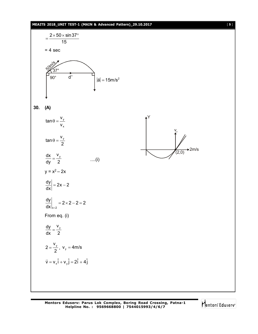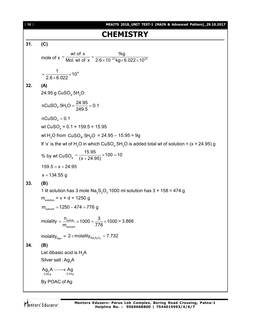**CHAPTER Y**  
\n161  
\n17. (C)  
\n182. (A)  
\n19. (C)  
\n100. (C) 
$$
\frac{1}{2}
$$
  
\n100. (D)  $\frac{1}{2}$   
\n101. (E)  $\frac{1}{2}$   
\n102. (A)  
\n24. 95 g CUSO<sub>4</sub>, 5H<sub>2</sub>O  
\n24. 95 g CUSO<sub>4</sub>, 5H<sub>2</sub>O  
\n24. 95 g CUSO<sub>4</sub>, 5H<sub>2</sub>O  
\n24. 95 g CUSO<sub>4</sub>, 5H<sub>2</sub>O  
\n24. 95 g CUSO<sub>4</sub>, 5H<sub>2</sub>O  
\n24. 95 g CUSO<sub>4</sub>, 5H<sub>2</sub>O  
\n24. 95 g CUSO<sub>4</sub>, 5H<sub>2</sub>O = 24. 95 – 15.95 = 9g  
\n16°x° is the wt of H<sub>2</sub>O in which CUSO<sub>4</sub>, 5H<sub>2</sub>O is added total wt of solution = (x + 24.95)g  
\n28. by wt CUSO<sub>4</sub> =  $\frac{15.95}{(x + 24.95)} \times 100 - 10$   
\n159.5 = x + 24.95  
\nx = 134.55 g  
\n33. (B)  
\n11t solution has 3 mole Na<sub>2</sub>5Q<sub>3</sub> 1000 ml solution has 3 x 158 = 474 g  
\n $m_{\text{volume}} = v \times d = 1250$  g  
\n $m_{\text{volume}} = 1250 - 474 = 776$  g  
\n $m_{\text{column}} = 1250 - 474 = 776$  g  
\n $m_{\text{column}} = 1250 - 474 = 776$  g  
\n $m_{\text{column}} = 1250 - 474 = 776$  g  
\n $m_{\text{column}} = 1250 - 474 = 776$  g  
\n $m_{\text{column}} = 1250 - 474 = 778$  g  
\n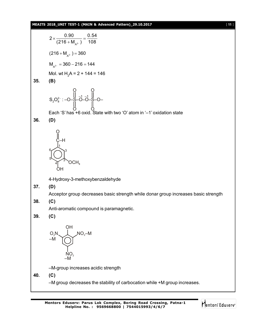#### **MEAITS 2018\_UNIT TEST-1 (MAIN & Advanced Pattern)\_29.10.2017** [ **11** ]

2 
$$
\times \frac{0.90}{(216 + M_{A^2})} = \frac{0.54}{108}
$$
  
\n $(216 + M_{A^2}) = 360$   
\n $M_{A^2} = 360 - 216 = 144$   
\nMol. wt H<sub>2</sub>A = 2 + 144 = 146  
\n35. (B)  
\nS<sub>2</sub>O<sub>8</sub><sup>2</sup> : -O<sub>8</sub> = 3<sup>-1</sup> = 3<sup>-1</sup> = 3<sup>-1</sup> = 3<sup>-1</sup> = 3<sup>-1</sup> = 3<sup>-1</sup> = 3<sup>-1</sup> = 3<sup>-1</sup> = 3<sup>-1</sup> = 3<sup>-1</sup> = 3<sup>-1</sup> = 3<sup>-1</sup> = 3<sup>-1</sup> = 3<sup>-1</sup> = 3<sup>-1</sup> = 3<sup>-1</sup> = 3<sup>-1</sup> = 3<sup>-1</sup> = 3<sup>-1</sup> = 3<sup>-1</sup> = 3<sup>-1</sup> = 3<sup>-1</sup> = 3<sup>-1</sup> = 3<sup>-1</sup> = 3<sup>-1</sup> = 3<sup>-1</sup> = 3<sup>-1</sup> = 3<sup>-1</sup> = 3<sup>-1</sup> = 3<sup>-1</sup> = 3<sup>-1</sup> = 3<sup>-1</sup> = 3<sup>-1</sup> = 3<sup>-1</sup> = 3<sup>-1</sup> = 3<sup>-1</sup> = 3<sup>-1</sup> = 3<sup>-1</sup> = 3<sup>-1</sup> = 3<sup>-1</sup> = 3<sup>-1</sup> = 3<sup>-1</sup> = 3<sup>-1</sup> = 3<sup>-1</sup> = 3<sup>-1</sup> = 3<sup>-1</sup> = 3<sup>-1</sup> = 3<sup>-1</sup> = 3<sup>-1</sup> = 3<sup>-1</sup> = 3<sup>-1</sup> = 3<sup>-1</sup> = 3<sup>-1</sup> = 3<sup>-1</sup> = 3<sup>-1</sup> = 3<sup>-1</sup> = 3<sup>-1</sup> = 3<sup>-1</sup> = 3<sup>-1</sup> = 3<sup>-1</sup> =

Mentors<sup>e</sup> Eduserv<sup>-</sup>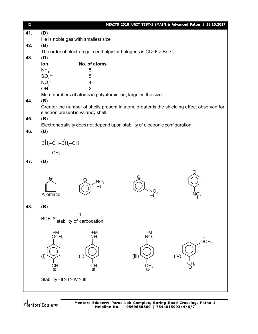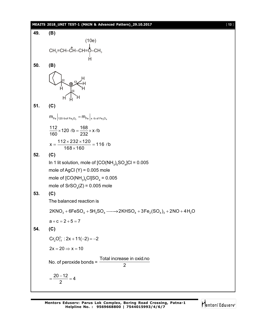#### **MEAITS 2018\_UNIT TEST-1 (MAIN & Advanced Pattern)\_29.10.2017** [ **13** ]



Mentors Eduserv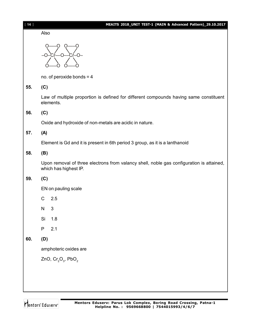| $[14]$ |                                                                                                                   | MEAITS 2018_UNIT TEST-1 (MAIN & Advanced Pattern)_29.10.2017 |  |
|--------|-------------------------------------------------------------------------------------------------------------------|--------------------------------------------------------------|--|
|        | Also                                                                                                              |                                                              |  |
|        |                                                                                                                   |                                                              |  |
|        | no. of peroxide bonds = $4$                                                                                       |                                                              |  |
| 55.    | (C)                                                                                                               |                                                              |  |
|        | Law of multiple proportion is defined for different compounds having same constituent<br>elements.                |                                                              |  |
| 56.    | (C)                                                                                                               |                                                              |  |
|        | Oxide and hydroxide of non-metals are acidic in nature.                                                           |                                                              |  |
| 57.    | (A)                                                                                                               |                                                              |  |
|        | Element is Gd and it is present in 6th period 3 group, as it is a lanthanoid                                      |                                                              |  |
| 58.    | (B)                                                                                                               |                                                              |  |
|        | Upon removal of three electrons from valancy shell, noble gas configuration is attained,<br>which has highest IP. |                                                              |  |
| 59.    | (C)                                                                                                               |                                                              |  |
|        | EN on pauling scale                                                                                               |                                                              |  |
|        | C                                                                                                                 | 2.5                                                          |  |
|        | N                                                                                                                 | 3                                                            |  |
|        | Si                                                                                                                | 1.8                                                          |  |
|        | P                                                                                                                 | 2.1                                                          |  |
| 60.    | (D)                                                                                                               |                                                              |  |
|        | amphoteric oxides are                                                                                             |                                                              |  |
|        |                                                                                                                   | ZnO, $Cr_2O_3$ , PbO <sub>2</sub>                            |  |
|        |                                                                                                                   |                                                              |  |
|        |                                                                                                                   |                                                              |  |
|        |                                                                                                                   |                                                              |  |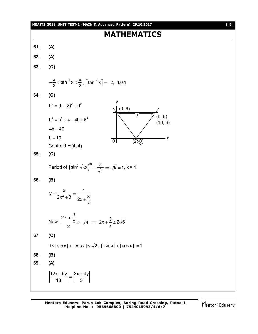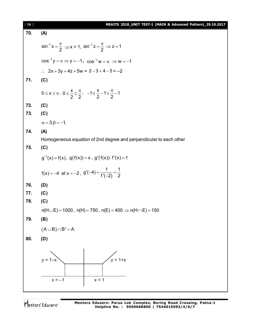| $[ 16 ]$ | MEAITS 2018_UNIT TEST-1 (MAIN & Advanced Pattern)_29.10.2017                                               |  |  |  |  |  |
|----------|------------------------------------------------------------------------------------------------------------|--|--|--|--|--|
| 70.      | (A)                                                                                                        |  |  |  |  |  |
|          | $\sin^{-1} x = \frac{\pi}{2} \implies x = 1$ , $\sin^{-1} z = \frac{\pi}{2} \implies z = 1$                |  |  |  |  |  |
|          | $cos^{-1} y = \pi \Rightarrow y = -1$ , $cos^{-1} w = \pi \Rightarrow w = -1$                              |  |  |  |  |  |
|          | $\therefore$ 2x + 3y + 4z + 5w = 2 - 3 + 4 - 5 = -2                                                        |  |  |  |  |  |
| 71.      | (C)                                                                                                        |  |  |  |  |  |
|          | $0 \le x \le \pi$ , $0 \le \frac{x}{2} \le \frac{\pi}{2}$ , $-1 \le \frac{x}{2} - 1 \le \frac{\pi}{2} - 1$ |  |  |  |  |  |
| 72.      | (C)                                                                                                        |  |  |  |  |  |
| 73.      | (C)                                                                                                        |  |  |  |  |  |
|          | $\alpha = 3, \beta = -1$                                                                                   |  |  |  |  |  |
| 74.      | (A)                                                                                                        |  |  |  |  |  |
|          | Homogeneous equation of 2nd degree and perpendicular to each other                                         |  |  |  |  |  |
| 75.      | (C)                                                                                                        |  |  |  |  |  |
|          | $g^{-1}(x) = f(x), g(f(x)) = x, g'(f(x)) \cdot f'(x) = 1$                                                  |  |  |  |  |  |
|          | $f(x) = -4$ at $x = -2$ , $g'(-4) = \frac{1}{f'(-2)} = \frac{1}{2}$                                        |  |  |  |  |  |
| 76.      | (D)                                                                                                        |  |  |  |  |  |
| 77.      | (C)                                                                                                        |  |  |  |  |  |
| 78.      | (C)                                                                                                        |  |  |  |  |  |
|          | $n(H \cup E) = 1000$ , $n(H) = 750$ , $n(E) = 400 \Rightarrow n(H \cap E) = 150$                           |  |  |  |  |  |
| 79.      | (B)                                                                                                        |  |  |  |  |  |
|          | $(A \cup B) \cap B' = A$                                                                                   |  |  |  |  |  |
| 80.      | (D)                                                                                                        |  |  |  |  |  |
|          | .<br>y = 1+x<br>$y = 1 - x$<br>$x = 1$<br>$x = -1$                                                         |  |  |  |  |  |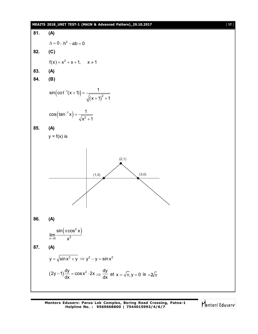#### **MEAITS 2018\_UNIT TEST-1 (MAIN & Advanced Pattern)\_29.10.2017** [ **17** ]

81. (A)  
\nA = 0, h<sup>2</sup> - ab = 0  
\n82. (C)  
\n
$$
f(x) = x^2 + x + 1, x \ne 1
$$
  
\n83. (A)  
\n84. (B)  
\n $\sin(cot^{-1}(x+1)) = \frac{1}{\sqrt{(x+1)^2 + 1}}$   
\n $\cos(\tan^{-1} x) = \frac{1}{\sqrt{x^2 + 1}}$   
\n85. (A)  
\n $y = f(x)$  is  
\n $\lim_{x \to 0} \frac{\sin(\pi \cos^2 x)}{x^2}$   
\n87. (A)  
\n $y = \sqrt{\sin x^2 + y} \Rightarrow y^2 - y = \sin x^2$   
\n $(2y-1)\frac{dy}{dx} = \cos x^2 \cdot 2x \Rightarrow \frac{dy}{dx}$  at  $x = \sqrt{\pi}, y = 0$  is  $-2\sqrt{\pi}$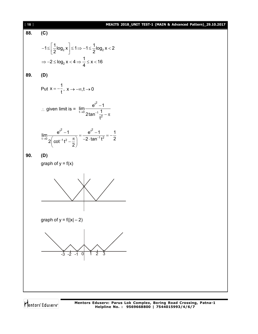| [18] | MEAITS 2018_UNIT TEST-1 (MAIN & Advanced Pattern)_29.10.2017                                                                 |
|------|------------------------------------------------------------------------------------------------------------------------------|
| 88.  | (C)                                                                                                                          |
|      | $-1 \leq \left\lfloor \frac{1}{2} \log_2 x \right\rfloor \leq 1 \Rightarrow -1 \leq \frac{1}{2} \log_2 x < 2$                |
|      | $\Rightarrow -2 \le \log_2 x < 4 \Rightarrow \frac{1}{4} \le x < 16$                                                         |
| 89.  | (D)                                                                                                                          |
|      | Put $x = -\frac{1}{t}$ , $x \rightarrow -\infty, t \rightarrow 0$                                                            |
|      | ∴ given limit is = $\lim_{t\to 0} \frac{e^{t^2}-1}{2\tan^{-1}\frac{1}{t^2}-\pi}$                                             |
|      | $\lim_{t\to 0}\frac{e^{t^2}-1}{2\left(\cot^{-1}t^2-\frac{\pi}{2}\right)}=\frac{e^{t^2}-1}{-2\cdot\tan^{-1}t^2}=-\frac{1}{2}$ |
| 90.  | (D)                                                                                                                          |
|      | graph of $y = f(x)$                                                                                                          |
|      |                                                                                                                              |
|      | graph of $y = f( x  - 2)$                                                                                                    |
|      |                                                                                                                              |
|      |                                                                                                                              |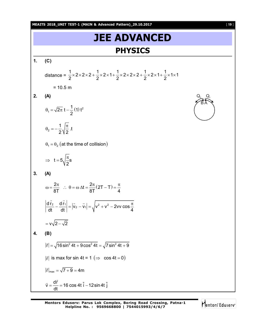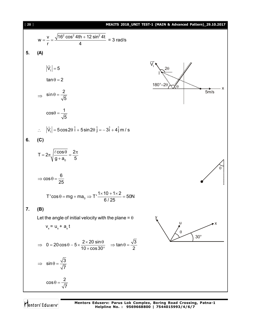| 1201                                                                                                                               | MLA is 2018 UNIT TEST-1 (MAINS Advanced Pattern). <sup>29.10,2017</sup> |
|------------------------------------------------------------------------------------------------------------------------------------|-------------------------------------------------------------------------|
| $w = \frac{v}{r} = \frac{\sqrt{16^2 \cos^2 4 \text{th} + 12 \sin^2 4t}}{4} = 3 \text{ rad/s}$ \n                                   |                                                                         |
| 5. (A)                                                                                                                             |                                                                         |
| $ \vec{V}_1  = 5$                                                                                                                  | $\vec{V}_1  = 5$                                                        |
| $tan \theta = 2$                                                                                                                   | $360^\circ - 20 \sqrt{0}$                                               |
| $ \vec{V}_1  = 5 cos 0 = \frac{1}{\sqrt{5}}$                                                                                       |                                                                         |
| $cos \theta = \frac{1}{\sqrt{5}}$                                                                                                  |                                                                         |
| $\vec{V}_1  = 5 cos 2\theta \hat{i} + 5 sin 2\theta \hat{j} = -3\hat{i} + 4\hat{j} m/s$                                            |                                                                         |
| 6. (C)                                                                                                                             |                                                                         |
| $T = 2\pi \sqrt{\frac{(\cos \theta)}{9 + a_0}} = \frac{2\pi}{5}$                                                                   |                                                                         |
| $= cos \theta = \frac{6}{25}$                                                                                                      |                                                                         |
| $T' cos \theta = mg + ma_0 \Rightarrow T' \frac{1 \times 10 + 1 \times 2}{6/25} = 50N$                                             |                                                                         |
| 7. (B)                                                                                                                             |                                                                         |
| Let the angle of initial velocity with the plane = θ                                                                               |                                                                         |
| $v_x = u_x + a_x t$                                                                                                                |                                                                         |
| $= 0 = 20 cos \theta - 5 \times \frac{2 \times 20 sin \theta}{10 \times cos 30^\circ} \Rightarrow tan \theta = \frac{\sqrt{3}}{2}$ |                                                                         |
| $\Rightarrow sin \theta = \frac{\sqrt{3}}{\sqrt{7}}$                                                                               |                                                                         |
| $cos \theta = \frac{$                                                                                                              |                                                                         |

Mentors<sup>®</sup> Eduserv<sup>®</sup>

**Mentors Eduserv: Parus Lok Complex, Boring Road Crossing, Patna-1 Helpline No. : 9569668800 | 7544015993/4/6/7**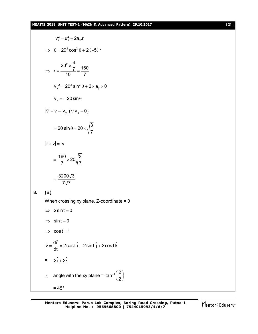#### **MEAITS 2018\_UNIT TEST-1 (MAIN & Advanced Pattern)\_29.10.2017** [ **21** ]

$$
v_x^2 = u_x^2 + 2a_x r
$$
  
\n⇒  $\theta = 20^2 \cos^2 \theta + 2(-5) r$   
\n⇒  $r = \frac{20^2 \times \frac{4}{7}}{10} = \frac{160}{7}$   
\n
$$
v_y^2 = 20^2 \sin^2 \theta + 2 \times a_y \times 0
$$
  
\n
$$
v_y = -20 \sin \theta
$$
  
\n $|\vec{v}| = v = |v_y| (\because v_x = 0)$   
\n $= 20 \sin \theta = 20 \times \sqrt{\frac{3}{7}}$   
\n $|\vec{r} \times \vec{v}| = rv$   
\n $= \frac{160}{7} \times 20 \sqrt{\frac{3}{7}}$   
\n $= \frac{3200\sqrt{3}}{7\sqrt{7}}$   
\n(B)  
\nWhen crossing xy plane, Z-coordinate = 0  
\n⇒ 2 sint = 0  
\n⇒ sint = 0  
\n⇒ cost = 1  
\n $\vec{v} = \frac{d\vec{r}}{dt} = 2 \cos t \hat{i} - 2 \sin t \hat{j} + 2 \cos t \hat{k}$   
\n $= 2\hat{i} + 2\hat{k}$   
\n∴ angle with the xy plane = tan<sup>-1</sup>( $\frac{2}{2}$ )  
\n= 45°

**8. (B)**

Mentors<sup>e</sup> Eduserv<sup>-</sup>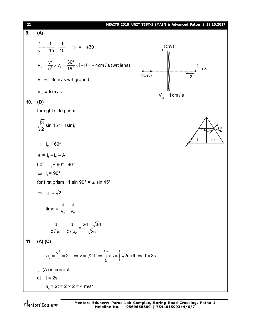| $[22]$ | MEAITS 2018_UNIT TEST-1 (MAIN & Advanced Pattern)_29.10.2017                                                                  |  |  |  |
|--------|-------------------------------------------------------------------------------------------------------------------------------|--|--|--|
| 9.     | (A)                                                                                                                           |  |  |  |
|        | $\frac{1}{v} - \frac{1}{-15} = \frac{1}{10}$ $\Rightarrow v = +30$<br>1cm/s                                                   |  |  |  |
|        | mmmmmmmmmmmmm<br>$V_{I_1} = \frac{V^2}{11^2} \times V_0 = \frac{30^2}{15^2} \times (-1) = -4 \text{cm/s}$ (wrt lens)<br>3cm/s |  |  |  |
|        | $V_{I_1} = -3$ cm / s wrt ground                                                                                              |  |  |  |
|        | $V_{I_2} = 1$ cm / s<br>$V_{I_2} = 1$ cm / s                                                                                  |  |  |  |
| 10.    | (D)                                                                                                                           |  |  |  |
|        | for right side prism :                                                                                                        |  |  |  |
|        | $\sqrt{\frac{3}{2}}$ sin 45° = 1sini <sub>2</sub><br>45)                                                                      |  |  |  |
|        | $\mu_1$<br>$\mu_{2}$<br>$\implies i_2 = 60^\circ$                                                                             |  |  |  |
|        | $\delta = i_1 + i_2 - A$                                                                                                      |  |  |  |
|        | $60^\circ = i_1 + 60^\circ - 90^\circ$                                                                                        |  |  |  |
|        | $\Rightarrow$ i <sub>1</sub> = 90°                                                                                            |  |  |  |
|        | for first prism : 1 sin 90° = $\mu_1$ sin 45°                                                                                 |  |  |  |
|        | $\Rightarrow$ $\mu_1 = \sqrt{2}$                                                                                              |  |  |  |
|        | $\therefore$ time = $\frac{d}{v_1} + \frac{d}{v_2}$                                                                           |  |  |  |
|        | $=\frac{d}{c/\mu_1}+\frac{d}{c/\mu_2}=\frac{2d+\sqrt{3}d}{\sqrt{2}c}$                                                         |  |  |  |
| 11.    | $(A)$ $(C)$                                                                                                                   |  |  |  |
|        | $a_c = \frac{v^2}{r} = 2t \implies v = \sqrt{2rt} \implies \int_0^{2\pi} ds = \int_0^t \sqrt{2rt} dt \implies t = 3s$         |  |  |  |
|        | $\therefore$ (A) is correct                                                                                                   |  |  |  |
|        | at $t = 2s$                                                                                                                   |  |  |  |
|        | $a_c = 2t = 2 \times 2 = 4$ m/s <sup>2</sup>                                                                                  |  |  |  |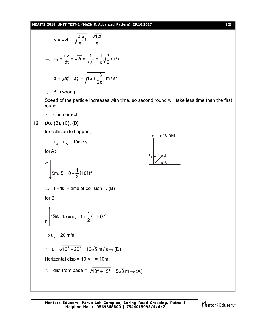**MEAITS 2018\_UNIT TEST-1 (MAIN & Advanced Pattern)\_29.10.2017** [ **23** ]

$$
v = \sqrt{vt} = \sqrt{\frac{2.6}{\pi^2}} t = \frac{\sqrt{12t}}{\pi}
$$
  

$$
\Rightarrow a_{\tau} = \frac{dv}{dt} = \sqrt{2r} \times \frac{1}{2\sqrt{t}} = \frac{1}{\pi} \sqrt{\frac{3}{2}} m/s^2
$$
  

$$
a = \sqrt{a_{c}^2 + a_{\tau}^2} = \sqrt{16 + \frac{3}{2\pi^2}} m/s^2
$$

 $\therefore$  B is wrong

Speed of the particle increases with time, so second round will take less time than the first round.

 $\therefore$  C is correct

**12. (A), (B), (C), (D)**

for collision to happen,

10 m/s  
\nu<sub>x</sub> = u<sub>A</sub> = 10m/s  
\nfor A:  
\n
$$
\begin{array}{ccc}\n&1\\
\end{array}
$$
\nA  
\n
$$
\begin{array}{ccc}\n&1\\
5m, 5 = 0 + \frac{1}{2}(10)t^2\n\end{array}
$$
\n⇒ t = 1s = time of collision → (B)  
\nfor B  
\n
$$
\begin{array}{ccc}\n&1\\
15m, 15 = u_y \times 1 + \frac{1}{2}(-10)t^2\n\end{array}
$$
\n⇒ u<sub>y</sub> = 20 m/s  
\n∴ u =  $\sqrt{10^2 + 20^2} = 10\sqrt{5}$  m/s → (D)  
\nHorizontal disp = 10 × 1 = 10m  
\n∴ dist from base =  $\sqrt{10^2 + 15^2} = 5\sqrt{3}$  m → (A)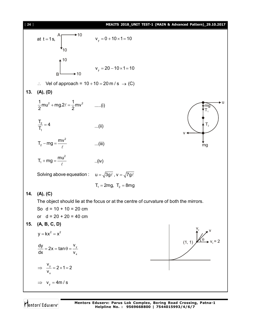[ **24** ] **MEAITS 2018\_UNIT TEST-1 (MAIN & Advanced Pattern)\_29.10.2017** at  $t = 1$ s,  $\wedge$  10 10  $v_y = 0 + 10 \times 1 = 10$ B  $\triangle$  10 10  $v_y = 20 - 10 \times 1 = 10$  $\therefore$  Vel of approach = 10 + 10 = 20 m / s  $\rightarrow$  (C) **13. (A), (D)**  $\frac{1}{2}$  mu<sup>2</sup> + mg.2 $\ell = \frac{1}{2}$  mv<sup>2</sup>  $\frac{1}{2}$ mu<sup>2</sup> + mg.2 $\ell = \frac{1}{2}$ mv<sup>2</sup> ......(i) u v mg  $T<sub>2</sub>$  $\mathsf{T}_\mathsf{1}$ mg 2 1  $\frac{T_2}{T}$  = 4 T ...(ii) 2  $T_2 - mg = \frac{mv}{a}$  $\ell$ ...(iii) 2  $T_1 + mg = \frac{mu}{a}$  $\ell$ ..(iv) Solving above equeation :  $u = \sqrt{3g\ell}$ ,  $v = \sqrt{7g\ell}$  $T_1 = 2mg$ ,  $T_2 = 8mg$ **14. (A), (C)** The object should lie at the focus or at the centre of curvature of both the mirrors. So  $d = 10 + 10 = 20$  cm or  $d = 20 + 20 = 40$  cm **15. (A, B, C, D)**  $y = kx^2 = x^2$ y x  $\frac{dy}{dx}$  = 2x = tan  $\theta$  =  $\frac{v}{x}$  $\mathsf{d} \mathsf{x}$  v  $=2x = tan \theta =$ v<br>Av  $\theta$  $(1, 1)$ y x v  $2 \times 1 = 2$ v  $\Rightarrow$   $\frac{y}{x}$  = 2 × 1 = 2  $\Rightarrow v_y = 4m/s$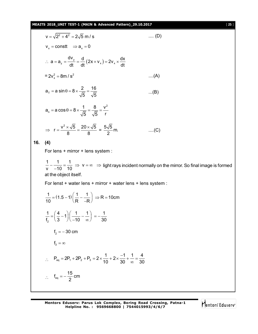#### **MEAITS 2018\_UNIT TEST-1 (MAIN & Advanced Pattern)\_29.10.2017** [ **25** ]

$$
v = \sqrt{2^2 + 4^2} = 2\sqrt{5} \text{ m/s} \qquad \dots (D)
$$
  
\n
$$
v_x = \text{const } \Rightarrow a_x = 0 \qquad \dots a = a_y = \frac{dv_y}{dt} = \frac{d}{dt}(2x \times v_x) = 2v_x \times \frac{dx}{dt}
$$
  
\n
$$
= 2v_x^2 = 8m/s^2 \qquad \dots (A)
$$
  
\n
$$
a_T = a \sin\theta = 8 \times \frac{2}{\sqrt{5}} = \frac{16}{\sqrt{5}} \qquad \dots (B)
$$
  
\n
$$
a_n = a \cos\theta = 8 \times \frac{1}{\sqrt{5}} = \frac{8}{\sqrt{5}} = \frac{v^2}{r}
$$
  
\n
$$
\Rightarrow r = \frac{v^2 \times \sqrt{5}}{8} = \frac{20 \times \sqrt{5}}{8} = \frac{5\sqrt{5}}{2} \text{ m}. \qquad \dots (C)
$$
  
\n16. (4)  
\nFor lens + mirror + lens system :  
\n
$$
\frac{1}{v} - \frac{1}{10} = \frac{1}{10} \Rightarrow v = \infty \Rightarrow \text{ light rays incident normally on the mirror. So final image is formed at the object itself.\nFor lens + water lens + mirror + water lens + lens system :\n
$$
\frac{1}{10} = (1.5 - 1)(\frac{1}{R} - \frac{1}{-R}) \Rightarrow R = 10 \text{ cm}
$$
  
\n
$$
\frac{1}{t_2} = (\frac{4}{3} - 1)(\frac{1}{-10} - \frac{1}{\infty}) = -\frac{1}{30}
$$
  
\n
$$
t_2 = -30 \text{ cm}
$$
  
\n
$$
t_3 = \infty
$$
  
\n
$$
\therefore P_{eq} = 2P_1 + 2P_2 + P_3 = 2 \times \frac{1}{10} + 2 \times \frac{-1}{30} + \frac{1}{\infty} = \frac{4}{30}
$$
  
\n
$$
\therefore I_{eq} = -\frac{15}{2} \text{ cm}
$$
$$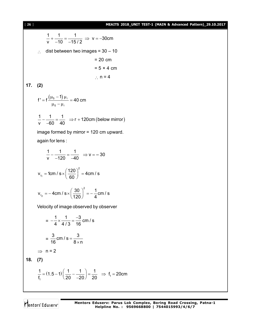[ **26** ] **MEAITS 2018\_UNIT TEST-1 (MAIN & Advanced Pattern)\_29.10.2017**

 $\frac{1}{1} + \frac{1}{10} = \frac{1}{15(0)} \Rightarrow v = -30$ cm  $v$   $-10$   $-15/2$  $+\frac{1}{10} = \frac{1}{15}$   $\Rightarrow$   $V = -3$  $-10$   $-1$  $\therefore$  dist between two images = 30 – 10  $= 20$  cm  $= 5 \times 4$  cm  $\therefore$  n = 4 **17. (2)**  $(\mu_{5} - 1)$ 5 1  $f' = f \frac{(f - 6)(f - f)}{f} = 40$  cm  $\mu_{5}$  – 1)  $\mu_{\ell}$  $= f \frac{(r \cdot 5)^{r \cdot \ell}}{r \cdot \ell} = 4$  $\mu_5 - \mu_\ell$  $\ell$  $\ell$  $\frac{1}{1} - \frac{1}{200} = \frac{1}{10}$   $\Rightarrow$  r + 120cm (below mirror) v 60 40  $-\frac{1}{20} = \frac{1}{10} \Rightarrow r + 1$  $\overline{\phantom{0}}$ image formed by mirror = 120 cm upward. again for lens :  $\frac{1}{1} - \frac{1}{100} = \frac{1}{10} \Rightarrow v = -30$ v 120 40  $-\frac{1}{100} = \frac{1}{10}$   $\Rightarrow$  V = --120 -4 1  $v_{I_1} = 1$ cm / s  $\times \left(\frac{120}{20}\right)^2 = 4$ cm / s  $T_1$  –  $\sim$  101173 $\sim$  60 = 1cm / s  $\times \left(\frac{120}{60}\right)^2$  = 4 2  $v_{I_2} = -4 \text{cm} / \text{s} \times \left(\frac{30}{100}\right)^2 = -\frac{1}{4} \text{cm} / \text{s}$  $I_2$  – Form  $3 \times (120)$  – 4  $=-4$ cm / s  $\times \left(\frac{30}{120}\right)^2 = -\frac{1}{2}$ Velocity of image observed by observer  $=-\frac{1}{4} \times \frac{1}{4(2)} = \frac{-3}{46}$  cm / s 4 4/3 16  $-\frac{1}{4} \times \frac{1}{440} = \frac{-}{4}$  $=\frac{3}{46}$  cm / s =  $\frac{3}{8}$  $16$   $8 \times n$  $=$  $\times$  $\Rightarrow$  n = 2 **18. (7)**  $(1.5-1)\left(\frac{1}{20}-\frac{1}{20}\right)=\frac{1}{20} \Rightarrow f_1$ 1  $\frac{1}{2}$  = (1.5 – 1)  $\left(\frac{1}{22} - \frac{1}{20}\right) = \frac{1}{20}$   $\Rightarrow$  f<sub>1</sub> = 20cm  $f_1$  (20 -20) 20  $= (1.5-1)\left(\frac{1}{20} - \frac{1}{-20}\right) = \frac{1}{20} \Rightarrow f_1 = 2$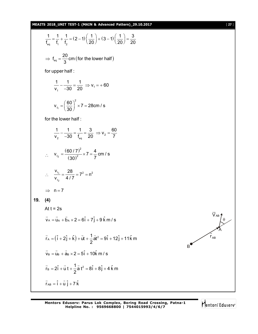#### **MEAITS 2018\_UNIT TEST-1 (MAIN & Advanced Pattern)\_29.10.2017** [ **27** ]

$$
\frac{1}{t_{eq}} = \frac{1}{t_1} + \frac{1}{t_2} = (2 - 1) \left(\frac{1}{20}\right) + (3 - 1) \left(\frac{1}{20}\right) = \frac{3}{20}
$$
\n
$$
\Rightarrow t_{eq} = \frac{20}{3} \text{ cm (for the lower half)}
$$
\nfor upper half :  
\n
$$
\frac{1}{v_1} - \frac{1}{-30} = \frac{1}{20} \Rightarrow v_1 = +60
$$
\n
$$
v_{v_1} = \left(\frac{60}{30}\right)^2 \times 7 = 28 \text{ cm/s}
$$
\nfor the lower half :  
\n
$$
\frac{1}{v_2} - \frac{1}{-30} = \frac{1}{t_{eq}} = \frac{3}{20} \Rightarrow v_2 = \frac{60}{7}
$$
\n
$$
\therefore \quad v_{v_2} = \frac{(60/7)^2}{(30)^2} \times 7 = \frac{4}{7} \text{ cm/s}
$$
\n
$$
\therefore \quad \frac{v_{v_1}}{v_{v_2}} = \frac{28}{4/7} = 7^2 = n^2
$$
\n
$$
\Rightarrow n = 7
$$
\n19. (4)  
\nAt t = 2s  
\n
$$
\vec{v}_A = \vec{u}_A + \vec{b}_A \times 2 = 6\hat{i} + 7\hat{j} + 9\hat{k} \text{ m/s}
$$
\n
$$
\vec{r}_A = (\hat{i} + 2\hat{j} + \hat{k}) + \vec{u}_A + \frac{1}{2}\vec{a}_I^2 = 9\hat{i}_A + 12\hat{j}_B + 11\hat{k} \text{ m}
$$
\n
$$
\vec{v}_B = \vec{u}_B + \vec{a}_B \times 2 = 5\hat{i}_A + 10\hat{k} \text{ m/s}
$$
\n
$$
\vec{r}_B = 2\hat{i} + \vec{u} + \frac{1}{2}\vec{a}_I^2 = 8\hat{i}_B + 8\hat{j}_B + 4\hat{k} \text{ m}
$$
\n
$$
\vec{r}_{AB} = \hat{i}_B + \vec{u}_B \times 2 = 5\hat{i}_B + 12\hat{j}_B + 4\hat{k} \text{ m}
$$
\n
$$
\vec{r}_{AB} = \hat{i}_
$$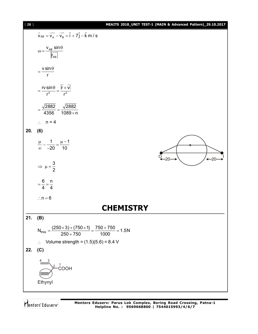| $[ 28 ]$ |                                                                                                                                           | MEAITS 2018_UNIT TEST-1 (MAIN & Advanced Pattern)_29.10.2017 |
|----------|-------------------------------------------------------------------------------------------------------------------------------------------|--------------------------------------------------------------|
|          | $\overrightarrow{V}_{AB} = \overrightarrow{V_A} - \overrightarrow{V_B} = \hat{i} + 7\hat{j} - \hat{k}$ m / s                              |                                                              |
|          | $\omega = \frac{v_{AB} \sin \theta}{\left \overrightarrow{r_{AB}}\right }$                                                                |                                                              |
|          | $=\frac{v \sin \theta}{r}$                                                                                                                |                                                              |
|          | $=\frac{rv\sin\theta}{r^2}=\frac{ \vec{r}\times\vec{v} }{r^2}$                                                                            |                                                              |
|          | $=\frac{\sqrt{2882}}{4356}=\frac{\sqrt{2882}}{1089\times n}$                                                                              |                                                              |
|          | $\therefore$ n = 4                                                                                                                        |                                                              |
| 20.      | (6)                                                                                                                                       |                                                              |
|          | $\frac{\mu}{\infty} - \frac{1}{-20} = \frac{\mu - 1}{10}$                                                                                 | $-20$                                                        |
|          | $\Rightarrow \mu = \frac{3}{2}$                                                                                                           |                                                              |
|          | $=\frac{6}{4}=\frac{n}{4}$                                                                                                                |                                                              |
|          | $\therefore$ n = 6                                                                                                                        |                                                              |
|          | <b>CHEMISTRY</b>                                                                                                                          |                                                              |
| 21.      | (B)                                                                                                                                       |                                                              |
|          | $N_{mix} = \frac{(250 \times 3) + (750 \times 1)}{250 + 750} = \frac{750 + 750}{1000} = 1.5N$<br>: Volume strength = $(1.5)(5.6) = 8.4$ V |                                                              |
|          |                                                                                                                                           |                                                              |
| 22.      | (C)<br>$\rm_{COOH}^{1}$<br>Ethynyl                                                                                                        |                                                              |
|          |                                                                                                                                           |                                                              |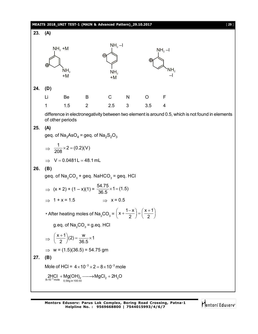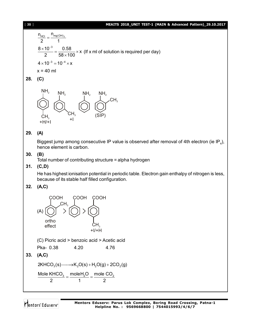#### [ **30** ] **MEAITS 2018\_UNIT TEST-1 (MAIN & Advanced Pattern)\_29.10.2017**



### **28. (C)**



#### **29. (A)**

Biggest jump among consecutive IP value is observed after removal of 4th electron (ie IP<sub>4</sub>), hence element is carbon.

#### **30. (B)**

Total number of contributing structure = alpha hydrogen

#### **31. (C,D)**

He has highest ionisation potential in periodic table. Electron gain enthalpy of nitrogen is less, because of its stable half filled configuration.

#### **32. (A,C)**

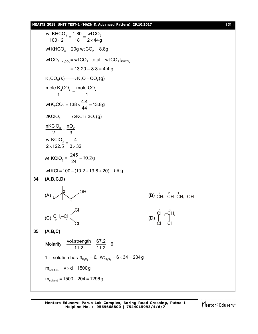#### **MEAITS 2018\_UNIT TEST-1 (MAIN & Advanced Pattern)\_29.10.2017** [ **31** ]

wt KHCO $_3$   $\_$  1.80  $\_$  wt CO $_2$  $100 \times 2$  18  $2 \times 44g$  $=\frac{1.00}{1.8}$  $\times 2$  18 2 $\times$ wtKHCO<sub>3</sub> = 20g, wtCO<sub>2</sub> = 8.8g wtCO $_2$   $\vert_{\mathsf{K}_2\mathrm{CO}_3}$  = wtCO $_2$  | total  $-$  wtCO $_2$   $\vert_{\mathsf{K HCO}_3}$  $= 13.20 - 8.8 = 4.4$  g  $K_2CO_3(s) \longrightarrow K_2O + CO_2(g)$ mole  $\mathrm{K_2CO}_{3}$   $_{-}$  mole  $\mathrm{CO}_2$ 1 1  $=$ wtK<sub>2</sub>CO<sub>3</sub> = 138  $\times \frac{4.4}{44}$  = 13.8g 44  $=138 \times \frac{11}{11} =$  $2KClO<sub>3</sub> \longrightarrow 2KCl + 3O<sub>2</sub>(g)$  $nKClO_3 = nO_2$ 2 3  $=$ wtKClO $_3$   $_-\,$  4  $2 \times 122.5$   $3 \times 32$  $=$  $\times$ 122.5 3 $\times$ 3 wt KClO<sub>3</sub> =  $\frac{245}{24}$  = 10.2g 24  $=$ wtKCl =  $100 - (10.2 + 13.8 + 20) = 56$  g **34. (A,B,C,D)**  $(A)$   $\left| \begin{matrix} 2 \\ 3 \end{matrix} \right|$ 1 OH (B)  $\rm \mathring{C}H_{2} = \mathring{C}H - \mathring{C}H_{2}$ -OH  $(C)$   $C_{7}$ <sup>1</sup><sub>3</sub>–CH Cl  $2 \left( \begin{array}{cc} 1 \\ 1 \end{array} \right)$  Cl (D)  $C_{H_2}^1$  $-C_{H_2}^2$ Cl Cl **35. (A,B,C)** Molarity =  $\frac{\text{vol}.\text{strength}}{44.0} = \frac{67.2}{44.0} = 6$ 11.2 11.2  $=\frac{1}{110}=\frac{1}{110}=6$ 1 lit solution has  $n_{H_2O_2} = 6$ ,  $wt_{H_2O_2} = 6 \times 34 = 204$  g  $m_{\text{solution}} = v \times d = 1500 g$  $m_{\text{solvent}} = 1500 - 204 = 1296 g$ 

Mentors Eduserv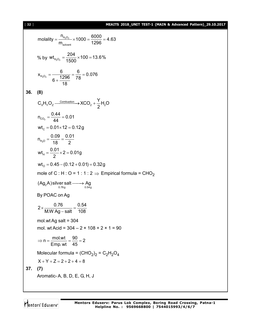#### [ **32** ] **MEAITS 2018\_UNIT TEST-1 (MAIN & Advanced Pattern)\_29.10.2017**

molality = 
$$
\frac{n_{H_2O_2}}{m_{solvent}} \times 1000 = \frac{6000}{1296} = 4.63
$$
  
\n% by wt<sub>H\_2O\_2</sub> =  $\frac{204}{1500} \times 100 = 13.6\%$   
\n
$$
x_{H_2O_2} = \frac{6}{6 + \frac{1296}{18}} = \frac{6}{78} = 0.076
$$
\n36. (8)  
\nC<sub>x</sub>H<sub>y</sub>O<sub>2</sub> =  $\frac{0.04}{44} = 0.01$   
\n
$$
m_{C_2} = \frac{0.44}{44} = 0.01
$$
\n
$$
wt_c = 0.01 \times 12 = 0.12g
$$
\n
$$
n_{H_2O} = \frac{0.09}{18} = \frac{0.01}{2}
$$
\n
$$
wt_u = \frac{0.01}{2} \times 2 = 0.01g
$$
\n
$$
wt_c = 0.45 - (0.12 + 0.01) = 0.32g
$$
\n
$$
mol = 0.45 - (0.12 + 0.01) = 0.32g
$$
\n
$$
mole of C : H : O = 1 : 1 : 2 \Rightarrow Empirical formula = CHO2
$$
\n(Ag<sub>2</sub>A) silver salt  $\longrightarrow$  Ag  
\nBy POAC on Ag  
\n
$$
2 \times \frac{0.76}{M.W Ag - salt} = \frac{0.54}{108}
$$
\n
$$
mol.wt Ag salt = 304
$$
\n
$$
mol.wt Ag salt = 304
$$
\n
$$
mol.wt Acid = 304 - 2 \times 108 + 2 \times 1 = 90
$$
\n
$$
\Rightarrow n = \frac{mol.wt}{Emp.vt} = \frac{90}{45} = 2
$$
\nMolecular formula = (CHO<sub>2</sub>)<sub>2</sub> = C<sub>2</sub>H<sub>2</sub>O<sub>4</sub>  
\n
$$
X + Y + Z = 2 + 2 + 4 = 8
$$
\n37. (7)  
\nAromatic-A, B, D, E, G, H, J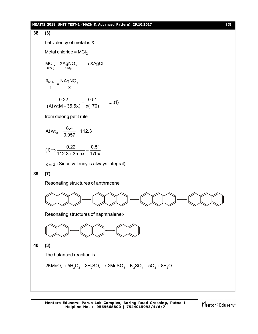#### **MEAITS 2018\_UNIT TEST-1 (MAIN & Advanced Pattern)\_29.10.2017** [ **33** ]

## **38. (3)** Let valency of metal is X Metal chloride =  $MCI_X$  $0.22g$   $0.51g$  $MCI_x + XAgNO_3 \longrightarrow XAgCl$  $n_{\text{MCI}_{\text{X}}}$   $\overline{\phantom{0}}$  NAgNO<sub>3</sub> 1 x  $=$  $\frac{0.22}{11.055} = \frac{0.51}{11.07}$  .....(1)  $(At wtM + 35.5x)$   $x(170)$  $=$  $\ddot{}$ from dulong petit rule At wt<sub>M</sub> =  $\frac{6.4}{0.057}$  = 112.3 0.057  $=\frac{0.1}{0.057}=1$  $(1)$   $\Rightarrow$   $\frac{0.22}{140.8}$   $\frac{0.51}{0.55}$   $\frac{0.51}{178}$  $112.3 + 35.5x$  170x  $\Rightarrow \frac{0.22}{110.8 \cdot 0.55} = ^{+}$  $x \approx 3$  (Since valency is always integral) **39. (7)** Resonating structures of anthracene Resonating structures of naphthalene:- **40. (3)** The balanced reaction is  $2 KMnO_4 + 5H_2O_2 + 3H_2SO_4 \rightarrow 2 MnSO_4 + K_2SO_4 + 5O_2 + 8H_2O$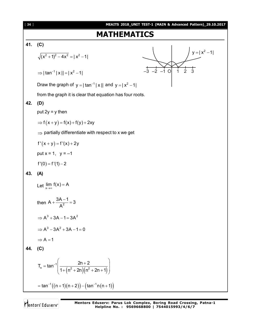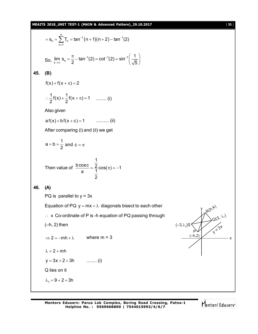

Mentors Eduserv

x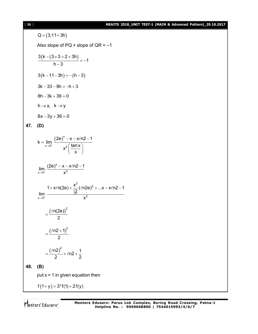#### [ **36** ] **MEAITS 2018\_UNIT TEST-1 (MAIN & Advanced Pattern)\_29.10.2017**

Q = (3,11+3h)  
\nAlso slope of PQ x slope of QR = -1  
\n
$$
\frac{3(k - (3 \times 3 + 2 + 3h))}{h - 3} = -1
$$
\n3(k-11-3h) = -(h-3)  
\n3k-33-9h = -h + 3  
\n8h-3k+36 = 0  
\nh\rightarrow x, k\rightarrow y  
\n8x-3y+36 = 0  
\n47. (D)  
\n
$$
k = \lim_{x\rightarrow 0^+} \frac{(2e)^x - x - x(n2-1)}{x^2(\frac{\tan x}{x})}
$$
\n
$$
\lim_{x\rightarrow 0^+} \frac{(2e)^x - x - x(n2-1)}{x^2}
$$
\n
$$
= \frac{1 + x(n(2e) + \frac{x^2}{12}(\ln 2e)^2 + ...x - x(n2-1)}{x^2}
$$
\n
$$
= \frac{(\ln(2e))^2}{2}
$$
\n
$$
= \frac{(\ln(2+1))^2}{2}
$$
\n48. (B)  
\nput x = 1 in given equation then  
\n $f(1+y) = 3^x f(1) + 2 f(y)$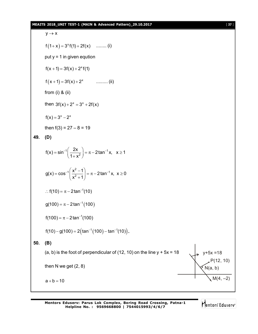#### **MEAITS 2018\_UNIT TEST-1 (MAIN & Advanced Pattern)\_29.10.2017** [ **37** ]

$$
y \rightarrow x
$$
  
\n $f(1+x) = 3^{x}f(1) + 2f(x)$  ......... (i)  
\nput y = 1 in given equation  
\n $f(x + 1) = 3f(x) + 2^{x}f(1)$   
\n $f(x+1) = 3f(x) + 2^{x}$  ......... (ii)  
\nfrom (i) & (ii)  
\nthen 3f(x)+2<sup>x</sup> = 3<sup>x</sup> + 2f(x)  
\n $f(x) = 3^{x} - 2^{x}$   
\nthen f(3) = 27 - 8 = 19  
\n49. (D)  
\n $f(x) = sin^{-1}(\frac{2x}{1+x^2}) = \pi - 2 tan^{-1}x, x \ge 1$   
\n $g(x) = cos^{-1}(\frac{x^2-1}{x^2+1}) = \pi - 2 tan^{-1}x, x \ge 0$   
\n∴ f(10) = π - 2 tan<sup>-1</sup>(10)  
\n $g(100) = \pi - 2 tan^{-1}(100)$   
\n $f(10) - g(100) = 2 (tan^{-1}(100) - tan^{-1}(10))$ .  
\n50. (B)  
\n(a, b) is the foot of perpendicular of (12, 10) on the line y + 5x = 18  
\nthen N we get (2, 8)  
\n $h(a, b)$   
\n $f(12, 10)$   
\n $f(12, 10)$   
\n $h(4, -2)$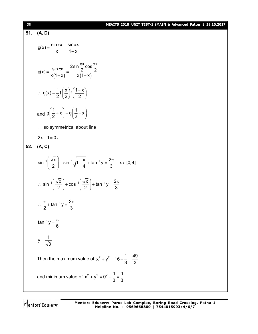#### [ **38** ] **MEAITS 2018\_UNIT TEST-1 (MAIN & Advanced Pattern)\_29.10.2017**

51. **(A, D)**  
\n
$$
g(x) = \frac{\sin nx}{x} + \frac{\sin nx}{1-x}
$$
\n
$$
g(x) = \frac{\sin nx}{x(1-x)} = \frac{2\sin \frac{\pi x}{2} \cos \frac{\pi x}{2}}{x(1-x)}
$$
\n
$$
\therefore g(x) = \frac{1}{2}f(\frac{x}{2})f(\frac{1-x}{2})
$$
\nand  $g(\frac{1}{2}+x) = g(\frac{1}{2}-x)$   
\n
$$
\therefore g \text{ so symmetrical about line}
$$
\n2x - 1 = 0.  
\n52. **(A, C)**  
\n
$$
\sin^{-1}(\frac{\sqrt{x}}{2}) + \sin^{-1}\sqrt{1-\frac{x}{4}} + \tan^{-1}y = \frac{2\pi}{3}, \quad x \in [0, 4]
$$
\n
$$
\therefore \sin^{-1}(\frac{\sqrt{x}}{2}) + \cos^{-1}(\frac{\sqrt{x}}{2}) + \tan^{-1}y = \frac{2\pi}{3}
$$
\n
$$
\therefore \frac{\pi}{2} + \tan^{-1}y = \frac{2\pi}{3}
$$
\n
$$
\tan^{-1}y = \frac{\pi}{6}
$$
\n
$$
y = \frac{1}{\sqrt{3}}
$$
\nThen the maximum value of  $x^2 + y^2 = 16 + \frac{1}{3} = \frac{49}{3}$   
\nand minimum value of  $x^2 + y^2 = 0^2 + \frac{1}{3} = \frac{1}{3}$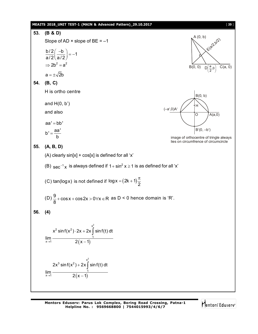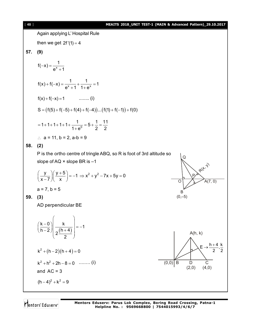#### [ **40** ] **MEAITS 2018\_UNIT TEST-1 (MAIN & Advanced Pattern)\_29.10.2017**